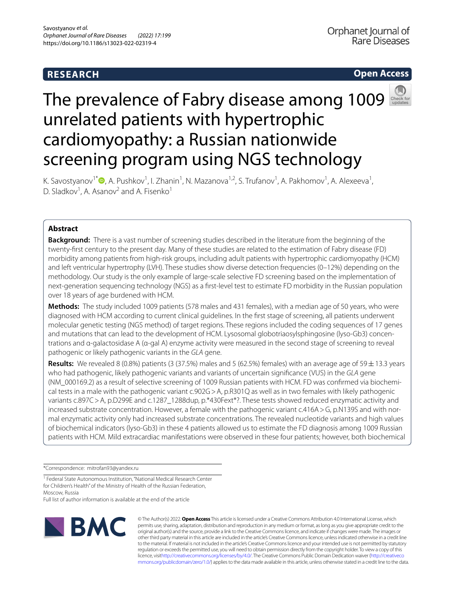# **RESEARCH**





# The prevalence of Fabry disease among 1009 unrelated patients with hypertrophic cardiomyopathy: a Russian nationwide screening program using NGS technology

K. Savostyanov<sup>1[\\*](http://orcid.org/0000-0003-4885-4171)</sup>®, A. Pushkov<sup>1</sup>, I. Zhanin<sup>1</sup>, N. Mazanova<sup>1,2</sup>, S. Trufanov<sup>1</sup>, A. Pakhomov<sup>1</sup>, A. Alexeeva<sup>1</sup>, D. Sladkov<sup>1</sup>, A. Asanov<sup>2</sup> and A. Fisenko<sup>1</sup>

## **Abstract**

**Background:** There is a vast number of screening studies described in the literature from the beginning of the twenty-frst century to the present day. Many of these studies are related to the estimation of Fabry disease (FD) morbidity among patients from high-risk groups, including adult patients with hypertrophic cardiomyopathy (HCM) and left ventricular hypertrophy (LVH). These studies show diverse detection frequencies (0–12%) depending on the methodology. Our study is the only example of large-scale selective FD screening based on the implementation of next-generation sequencing technology (NGS) as a frst-level test to estimate FD morbidity in the Russian population over 18 years of age burdened with HCM.

**Methods:** The study included 1009 patients (578 males and 431 females), with a median age of 50 years, who were diagnosed with HCM according to current clinical guidelines. In the frst stage of screening, all patients underwent molecular genetic testing (NGS method) of target regions. These regions included the coding sequences of 17 genes and mutations that can lead to the development of HCM. Lysosomal globotriaosylsphingosine (lyso-Gb3) concentrations and α-galactosidase A (α-gal A) enzyme activity were measured in the second stage of screening to reveal pathogenic or likely pathogenic variants in the *GLA* gene.

**Results:** We revealed 8 (0.8%) patients (3 (37.5%) males and 5 (62.5%) females) with an average age of 59 $\pm$ 13.3 years who had pathogenic, likely pathogenic variants and variants of uncertain signifcance (VUS) in the *GLA* gene (NM\_000169.2) as a result of selective screening of 1009 Russian patients with HCM. FD was confrmed via biochemical tests in a male with the pathogenic variant c.902G > A, p.R301Q as well as in two females with likely pathogenic variants c.897C > A, p.D299E and c.1287 1288dup, p.\*430Fext\*?. These tests showed reduced enzymatic activity and increased substrate concentration. However, a female with the pathogenic variant c.416A > G, p.N139S and with normal enzymatic activity only had increased substrate concentrations. The revealed nucleotide variants and high values of biochemical indicators (lyso-Gb3) in these 4 patients allowed us to estimate the FD diagnosis among 1009 Russian patients with HCM. Mild extracardiac manifestations were observed in these four patients; however, both biochemical

\*Correspondence: mitrofan93@yandex.ru

<sup>1</sup> Federal State Autonomous Institution, "National Medical Research Center for Children's Health" of the Ministry of Health of the Russian Federation, Moscow, Russia

Full list of author information is available at the end of the article



© The Author(s) 2022. **Open Access** This article is licensed under a Creative Commons Attribution 4.0 International License, which permits use, sharing, adaptation, distribution and reproduction in any medium or format, as long as you give appropriate credit to the original author(s) and the source, provide a link to the Creative Commons licence, and indicate if changes were made. The images or other third party material in this article are included in the article's Creative Commons licence, unless indicated otherwise in a credit line to the material. If material is not included in the article's Creative Commons licence and your intended use is not permitted by statutory regulation or exceeds the permitted use, you will need to obtain permission directly from the copyright holder. To view a copy of this licence, visi[thttp://creativecommons.org/licenses/by/4.0/](http://creativecommons.org/licenses/by/4.0/). The Creative Commons Public Domain Dedication waiver [\(http://creativeco](http://creativecommons.org/publicdomain/zero/1.0/) [mmons.org/publicdomain/zero/1.0/](http://creativecommons.org/publicdomain/zero/1.0/)) applies to the data made available in this article, unless otherwise stated in a credit line to the data.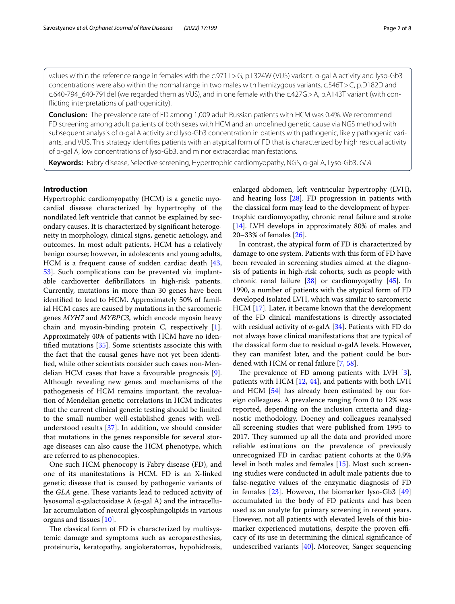values within the reference range in females with the c.971T>G, p.L324W (VUS) variant. α-gal A activity and lyso-Gb3 concentrations were also within the normal range in two males with hemizygous variants, c.546T > C, p.D182D and c.640-794\_640-791del (we regarded them as VUS), and in one female with the c.427G>A, p.A143T variant (with conficting interpretations of pathogenicity).

**Conclusion:** The prevalence rate of FD among 1,009 adult Russian patients with HCM was 0.4%. We recommend FD screening among adult patients of both sexes with HCM and an undefned genetic cause via NGS method with subsequent analysis of α-gal A activity and lyso-Gb3 concentration in patients with pathogenic, likely pathogenic variants, and VUS. This strategy identifes patients with an atypical form of FD that is characterized by high residual activity of α-gal A, low concentrations of lyso-Gb3, and minor extracardiac manifestations.

**Keywords:** Fabry disease, Selective screening, Hypertrophic cardiomyopathy, NGS, α-gal A, Lyso-Gb3, *GLA*

### **Introduction**

Hypertrophic cardiomyopathy (HCM) is a genetic myocardial disease characterized by hypertrophy of the nondilated left ventricle that cannot be explained by secondary causes. It is characterized by signifcant heterogeneity in morphology, clinical signs, genetic aetiology, and outcomes. In most adult patients, HCM has a relatively benign course; however, in adolescents and young adults, HCM is a frequent cause of sudden cardiac death [\[43](#page-7-0), [53\]](#page-7-1). Such complications can be prevented via implantable cardioverter defbrillators in high-risk patients. Currently, mutations in more than 30 genes have been identifed to lead to HCM. Approximately 50% of familial HCM cases are caused by mutations in the sarcomeric genes *MYH7* and *MYBPC3*, which encode myosin heavy chain and myosin-binding protein C, respectively [\[1](#page-6-0)]. Approximately 40% of patients with HCM have no identifed mutations [[35\]](#page-7-2). Some scientists associate this with the fact that the causal genes have not yet been identifed, while other scientists consider such cases non-Mendelian HCM cases that have a favourable prognosis [\[9](#page-6-1)]. Although revealing new genes and mechanisms of the pathogenesis of HCM remains important, the revaluation of Mendelian genetic correlations in HCM indicates that the current clinical genetic testing should be limited to the small number well-established genes with wellunderstood results [\[37](#page-7-3)]. In addition, we should consider that mutations in the genes responsible for several storage diseases can also cause the HCM phenotype, which are referred to as phenocopies.

One such HCM phenocopy is Fabry disease (FD), and one of its manifestations is HCM. FD is an X-linked genetic disease that is caused by pathogenic variants of the *GLA* gene. These variants lead to reduced activity of lysosomal α-galactosidase A (α-gal A) and the intracellular accumulation of neutral glycosphingolipids in various organs and tissues [\[10](#page-6-2)].

The classical form of FD is characterized by multisystemic damage and symptoms such as acroparesthesias, proteinuria, keratopathy, angiokeratomas, hypohidrosis, enlarged abdomen, left ventricular hypertrophy (LVH), and hearing loss [\[28](#page-7-4)]. FD progression in patients with the classical form may lead to the development of hypertrophic cardiomyopathy, chronic renal failure and stroke [[14\]](#page-6-3). LVH develops in approximately 80% of males and 20–33% of females [\[26](#page-6-4)].

In contrast, the atypical form of FD is characterized by damage to one system. Patients with this form of FD have been revealed in screening studies aimed at the diagnosis of patients in high-risk cohorts, such as people with chronic renal failure [[38\]](#page-7-5) or cardiomyopathy [\[45](#page-7-6)]. In 1990, a number of patients with the atypical form of FD developed isolated LVH, which was similar to sarcomeric HCM [\[17\]](#page-6-5). Later, it became known that the development of the FD clinical manifestations is directly associated with residual activity of  $\alpha$ -galA [\[34](#page-7-7)]. Patients with FD do not always have clinical manifestations that are typical of the classical form due to residual α-galA levels. However, they can manifest later, and the patient could be burdened with HCM or renal failure [\[7](#page-6-6), [58\]](#page-7-8).

The prevalence of FD among patients with LVH  $[3]$  $[3]$ , patients with HCM  $[12, 44]$  $[12, 44]$  $[12, 44]$  $[12, 44]$  $[12, 44]$ , and patients with both LVH and HCM [[54\]](#page-7-10) has already been estimated by our foreign colleagues. A prevalence ranging from 0 to 12% was reported, depending on the inclusion criteria and diagnostic methodology. Doeney and colleagues reanalysed all screening studies that were published from 1995 to 2017. They summed up all the data and provided more reliable estimations on the prevalence of previously unrecognized FD in cardiac patient cohorts at the 0.9% level in both males and females [\[15\]](#page-6-9). Most such screening studies were conducted in adult male patients due to false-negative values of the enzymatic diagnosis of FD in females  $[23]$  $[23]$ . However, the biomarker lyso-Gb3  $[49]$  $[49]$  $[49]$ accumulated in the body of FD patients and has been used as an analyte for primary screening in recent years. However, not all patients with elevated levels of this biomarker experienced mutations, despite the proven efficacy of its use in determining the clinical signifcance of undescribed variants [[40](#page-7-12)]. Moreover, Sanger sequencing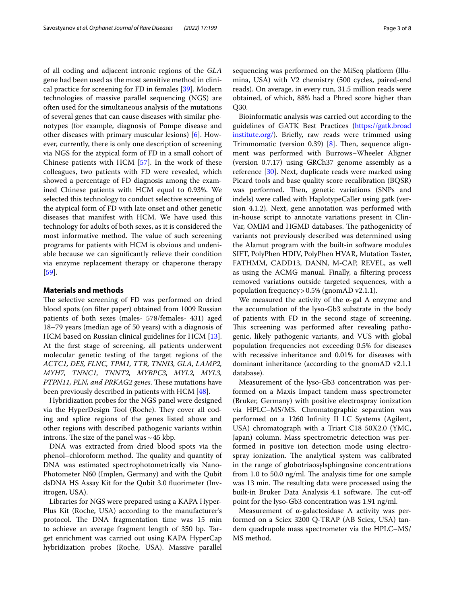of all coding and adjacent intronic regions of the *GLA* gene had been used as the most sensitive method in clinical practice for screening for FD in females [\[39](#page-7-13)]. Modern technologies of massive parallel sequencing (NGS) are often used for the simultaneous analysis of the mutations of several genes that can cause diseases with similar phenotypes (for example, diagnosis of Pompe disease and other diseases with primary muscular lesions) [[6\]](#page-6-11). However, currently, there is only one description of screening via NGS for the atypical form of FD in a small cohort of Chinese patients with HCM [\[57](#page-7-14)]. In the work of these colleagues, two patients with FD were revealed, which showed a percentage of FD diagnosis among the examined Chinese patients with HCM equal to 0.93%. We selected this technology to conduct selective screening of the atypical form of FD with late onset and other genetic diseases that manifest with HCM. We have used this technology for adults of both sexes, as it is considered the most informative method. The value of such screening programs for patients with HCM is obvious and undeniable because we can signifcantly relieve their condition via enzyme replacement therapy or chaperone therapy [[59\]](#page-7-15).

#### **Materials and methods**

The selective screening of FD was performed on dried blood spots (on flter paper) obtained from 1009 Russian patients of both sexes (males- 578/females- 431) aged 18–79 years (median age of 50 years) with a diagnosis of HCM based on Russian clinical guidelines for HCM [\[13](#page-6-12)]. At the frst stage of screening, all patients underwent molecular genetic testing of the target regions of the *ACTC1, DES, FLNC, TPM1, TTR, TNNI3, GLA, LAMP2, MYH7, TNNC1, TNNT2, MYBPC3, MYL2, MYL3,*  PTPN11, PLN, and PRKAG2 genes. These mutations have been previously described in patients with HCM [\[48](#page-7-16)].

Hybridization probes for the NGS panel were designed via the HyperDesign Tool (Roche). They cover all coding and splice regions of the genes listed above and other regions with described pathogenic variants within introns. The size of the panel was  $\sim$  45 kbp.

DNA was extracted from dried blood spots via the phenol–chloroform method. The quality and quantity of DNA was estimated spectrophotometrically via Nano-Photometer N60 (Implen, Germany) and with the Qubit dsDNA HS Assay Kit for the Qubit 3.0 fuorimeter (Invitrogen, USA).

Libraries for NGS were prepared using a KAPA Hyper-Plus Kit (Roche, USA) according to the manufacturer's protocol. The DNA fragmentation time was 15 min to achieve an average fragment length of 350 bp. Target enrichment was carried out using KAPA HyperCap hybridization probes (Roche, USA). Massive parallel sequencing was performed on the MiSeq platform (Illumina, USA) with V2 chemistry (500 cycles, paired-end reads). On average, in every run, 31.5 million reads were obtained, of which, 88% had a Phred score higher than Q30.

Bioinformatic analysis was carried out according to the guidelines of GATK Best Practices ([https://gatk.broad](https://gatk.broadinstitute.org/) [institute.org/\)](https://gatk.broadinstitute.org/). Briefy, raw reads were trimmed using Trimmomatic (version 0.39)  $[8]$  $[8]$ . Then, sequence alignment was performed with Burrows–Wheeler Aligner (version 0.7.17) using GRCh37 genome assembly as a reference [\[30\]](#page-7-17). Next, duplicate reads were marked using Picard tools and base quality score recalibration (BQSR) was performed. Then, genetic variations (SNPs and indels) were called with HaplotypeCaller using gatk (version 4.1.2). Next, gene annotation was performed with in-house script to annotate variations present in Clin-Var, OMIM and HGMD databases. The pathogenicity of variants not previously described was determined using the Alamut program with the built-in software modules SIFT, PolyPhen HDIV, PolyPhen HVAR, Mutation Taster, FATHMM, CADD13, DANN, M-CAP, REVEL, as well as using the ACMG manual. Finally, a fltering process removed variations outside targeted sequences, with a population frequency>0.5% (gnomAD v2.1.1).

We measured the activity of the  $\alpha$ -gal A enzyme and the accumulation of the lyso-Gb3 substrate in the body of patients with FD in the second stage of screening. This screening was performed after revealing pathogenic, likely pathogenic variants, and VUS with global population frequencies not exceeding 0.5% for diseases with recessive inheritance and 0.01% for diseases with dominant inheritance (according to the gnomAD v2.1.1 database).

Measurement of the lyso-Gb3 concentration was performed on a Maxis Impact tandem mass spectrometer (Bruker, Germany) with positive electrospray ionization via HPLC–MS/MS. Chromatographic separation was performed on a 1260 Infnity II LC Systems (Agilent, USA) chromatograph with a Triart C18 50X2.0 (YMC, Japan) column. Mass spectrometric detection was performed in positive ion detection mode using electrospray ionization. The analytical system was calibrated in the range of globotriaosylsphingosine concentrations from  $1.0$  to  $50.0$  ng/ml. The analysis time for one sample was 13 min. The resulting data were processed using the built-in Bruker Data Analysis 4.1 software. The cut-off point for the lyso-Gb3 concentration was 1.91 ng/ml.

Measurement of  $\alpha$ -galactosidase A activity was performed on a Sciex 3200 Q-TRAP (AB Sciex, USA) tandem quadrupole mass spectrometer via the HPLC–MS/ MS method.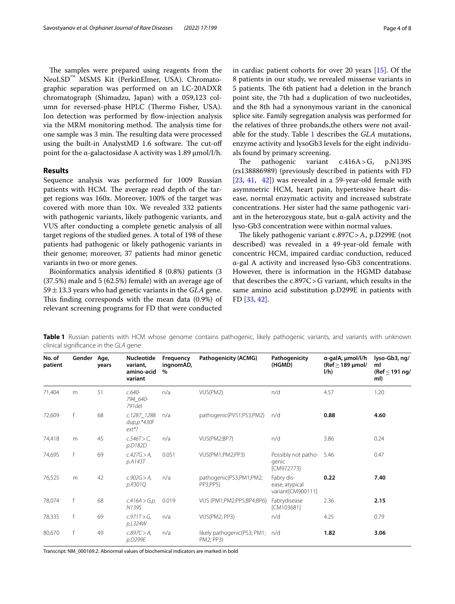The samples were prepared using reagents from the NeoLSD™ MSMS Kit (PerkinElmer, USA). Chromatographic separation was performed on an LC-20ADXR chromatograph (Shimadzu, Japan) with a 059,123 column for reversed-phase HPLC (Thermo Fisher, USA). Ion detection was performed by flow-injection analysis via the MRM monitoring method. The analysis time for one sample was 3 min. The resulting data were processed using the built-in AnalystMD 1.6 software. The cut-off point for the α-galactosidase A activity was  $1.89 \mu$ mol/l/h.

#### **Results**

Sequence analysis was performed for 1009 Russian patients with HCM. The average read depth of the target regions was 160x. Moreover, 100% of the target was covered with more than 10x. We revealed 332 patients with pathogenic variants, likely pathogenic variants, and VUS after conducting a complete genetic analysis of all target regions of the studied genes. A total of 198 of these patients had pathogenic or likely pathogenic variants in their genome; moreover, 37 patients had minor genetic variants in two or more genes.

Bioinformatics analysis identifed 8 (0.8%) patients (3 (37.5%) male and 5 (62.5%) female) with an average age of 59±13.3 years who had genetic variants in the *GLA* gene. This finding corresponds with the mean data (0.9%) of relevant screening programs for FD that were conducted in cardiac patient cohorts for over 20 years [[15\]](#page-6-9). Of the 8 patients in our study, we revealed missense variants in 5 patients. The 6th patient had a deletion in the branch point site, the 7th had a duplication of two nucleotides, and the 8th had a synonymous variant in the canonical splice site. Family segregation analysis was performed for the relatives of three probands,the others were not available for the study. Table [1](#page-3-0) describes the *GLA* mutations, enzyme activity and lysoGb3 levels for the eight individuals found by primary screening.

The pathogenic variant  $c.416A > G$ , p.N139S (rs138886989) (previously described in patients with FD [[23,](#page-6-10) [41](#page-7-18), [42\]](#page-7-19)) was revealed in a 59-year-old female with asymmetric HCM, heart pain, hypertensive heart disease, normal enzymatic activity and increased substrate concentrations. Her sister had the same pathogenic variant in the heterozygous state, but  $\alpha$ -galA activity and the lyso-Gb3 concentration were within normal values.

The likely pathogenic variant  $c.897C > A$ , p.D299E (not described) was revealed in a 49-year-old female with concentric HCM, impaired cardiac conduction, reduced α-gal A activity and increased lyso-Gb3 concentrations. However, there is information in the HGMD database that describes the c.897C>G variant, which results in the same amino acid substitution p.D299E in patients with FD [[33](#page-7-20), [42\]](#page-7-19).

| No. of<br>patient | Gender Age,  | years | <b>Nucleotide</b><br>variant,<br>amino-acid<br>variant | Frequency<br>ingnomAD,<br>$\%$ | Pathogenicity (ACMG)                     | Pathogenicity<br>(HGMD)                           | a-galA, umol/l/h<br>(Ref $\geq$ 189 µmol/<br>I/h | lyso-Gb3, ng/<br>ml<br>(Ref $\leq$ 191 ng/<br>ml) |
|-------------------|--------------|-------|--------------------------------------------------------|--------------------------------|------------------------------------------|---------------------------------------------------|--------------------------------------------------|---------------------------------------------------|
| 71,404            | m            | 51    | $c.640-$<br>794_640-<br>791 del                        | n/a                            | VUS(PM2)                                 | n/d                                               | 4.57                                             | 1.20                                              |
| 72,609            | f            | 68    | c.1287_1288<br>dup,p.*430F<br>$ext*?$                  | n/a                            | pathogenic(PVS1;PS3;PM2)                 | n/d                                               | 0.88                                             | 4.60                                              |
| 74,418            | m            | 45    | $c.546T>C$ ,<br>p.D182D                                | n/a                            | VUS(PM2;BP7)                             | n/d                                               | 3.86                                             | 0.24                                              |
| 74,695            | $\mathsf{f}$ | 69    | $c.427G > A$ ,<br>p.A143T                              | 0.051                          | VUS(PM1;PM2;PP3)                         | Possibly not patho-<br>genic<br>[CM972773]        | 5.46                                             | 0.47                                              |
| 76,525            | m            | 42    | $c.902G > A$ ,<br>p.R301Q                              | n/a                            | pathogenic(PS3;PM1;PM2;<br>PP3;PP5)      | Fabry dis-<br>ease, atypical<br>variant[CM900111] | 0.22                                             | 7.40                                              |
| 78,074            | f            | 68    | c.416A > G, p.<br>N139S                                | 0.019                          | VUS (PM1;PM2;PP5;BP4;BP6)                | Fabrydisease<br>[CM103681]                        | 2.36                                             | 2.15                                              |
| 78,335            | f            | 69    | $c.971T > G$ ,<br>p.L324W                              | n/a                            | VUS(PM2; PP3)                            | n/d                                               | 4.25                                             | 0.79                                              |
| 80,670            | f            | 49    | c.897C > A<br>p.D299E                                  | n/a                            | likely pathogenic(PS3; PM1;<br>PM2; PP3) | n/d                                               | 1.82                                             | 3.06                                              |

<span id="page-3-0"></span>**Table 1** Russian patients with HCM whose genome contains pathogenic, likely pathogenic variants, and variants with unknown clinical signifcance in the *GLA* gene

Transcript: NM\_000169.2. Abnormal values of biochemical indicators are marked in bold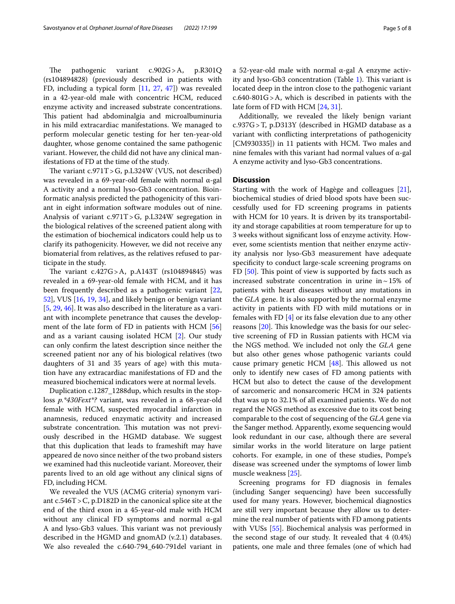The pathogenic variant  $c.902G > A$ , p.R301Q (rs104894828) (previously described in patients with FD, including a typical form [[11](#page-6-14), [27](#page-7-21), [47](#page-7-22)]) was revealed in a 42-year-old male with concentric HCM, reduced enzyme activity and increased substrate concentrations. This patient had abdominalgia and microalbuminuria in his mild extracardiac manifestations. We managed to perform molecular genetic testing for her ten-year-old daughter, whose genome contained the same pathogenic variant. However, the child did not have any clinical manifestations of FD at the time of the study.

The variant  $c.971T > G$ , p.L324W (VUS, not described) was revealed in a 69-year-old female with normal α-gal A activity and a normal lyso-Gb3 concentration. Bioinformatic analysis predicted the pathogenicity of this variant in eight information software modules out of nine. Analysis of variant c.971T>G, p.L324W segregation in the biological relatives of the screened patient along with the estimation of biochemical indicators could help us to clarify its pathogenicity. However, we did not receive any biomaterial from relatives, as the relatives refused to participate in the study.

The variant  $c.427G > A$ , p.A143T (rs104894845) was revealed in a 69-year-old female with HCM, and it has been frequently described as a pathogenic variant [\[22](#page-6-15), [52\]](#page-7-23), VUS [[16](#page-6-16), [19](#page-6-17), [34\]](#page-7-7), and likely benign or benign variant [[5,](#page-6-18) [29](#page-7-24), [46\]](#page-7-25). It was also described in the literature as a variant with incomplete penetrance that causes the develop-ment of the late form of FD in patients with HCM [[56](#page-7-26)] and as a variant causing isolated HCM [[2\]](#page-6-19). Our study can only confrm the latest description since neither the screened patient nor any of his biological relatives (two daughters of 31 and 35 years of age) with this mutation have any extracardiac manifestations of FD and the measured biochemical indicators were at normal levels.

Duplication c.1287\_1288dup, which results in the stoploss *p.\*430Fext\*?* variant, was revealed in a 68-year-old female with HCM, suspected myocardial infarction in anamnesis, reduced enzymatic activity and increased substrate concentration. This mutation was not previously described in the HGMD database. We suggest that this duplication that leads to frameshift may have appeared de novo since neither of the two proband sisters we examined had this nucleotide variant. Moreover, their parents lived to an old age without any clinical signs of FD, including HCM.

We revealed the VUS (ACMG criteria) synonym variant c.546T>C, p.D182D in the canonical splice site at the end of the third exon in a 45-year-old male with HCM without any clinical FD symptoms and normal α-gal A and lyso-Gb3 values. This variant was not previously described in the HGMD and gnomAD (v.2.1) databases. We also revealed the c.640-794\_640-791del variant in a 52-year-old male with normal α-gal A enzyme activity and lyso-Gb3 concentration (Table  $1$ ). This variant is located deep in the intron close to the pathogenic variant c.640-801G>A, which is described in patients with the late form of FD with HCM [[24,](#page-6-20) [31\]](#page-7-27).

Additionally, we revealed the likely benign variant c.937G>T, p.D313Y (described in HGMD database as a variant with conficting interpretations of pathogenicity [CM930335]) in 11 patients with HCM. Two males and nine females with this variant had normal values of α-gal A enzyme activity and lyso-Gb3 concentrations.

#### **Discussion**

Starting with the work of Hagège and colleagues [\[21](#page-6-21)], biochemical studies of dried blood spots have been successfully used for FD screening programs in patients with HCM for 10 years. It is driven by its transportability and storage capabilities at room temperature for up to 3 weeks without signifcant loss of enzyme activity. However, some scientists mention that neither enzyme activity analysis nor lyso-Gb3 measurement have adequate specifcity to conduct large-scale screening programs on FD  $[50]$  $[50]$ . This point of view is supported by facts such as increased substrate concentration in urine in $\sim$ 15% of patients with heart diseases without any mutations in the *GLA* gene. It is also supported by the normal enzyme activity in patients with FD with mild mutations or in females with FD [[4\]](#page-6-22) or its false elevation due to any other reasons [[20\]](#page-6-23). This knowledge was the basis for our selective screening of FD in Russian patients with HCM via the NGS method. We included not only the *GLA* gene but also other genes whose pathogenic variants could cause primary genetic HCM  $[48]$  $[48]$ . This allowed us not only to identify new cases of FD among patients with HCM but also to detect the cause of the development of sarcomeric and nonsarcomeric HCM in 324 patients that was up to 32.1% of all examined patients. We do not regard the NGS method as excessive due to its cost being comparable to the cost of sequencing of the *GLA* gene via the Sanger method. Apparently, exome sequencing would look redundant in our case, although there are several similar works in the world literature on large patient cohorts. For example, in one of these studies, Pompe's disease was screened under the symptoms of lower limb muscle weakness [[25\]](#page-6-24).

Screening programs for FD diagnosis in females (including Sanger sequencing) have been successfully used for many years. However, biochemical diagnostics are still very important because they allow us to determine the real number of patients with FD among patients with VUSs [\[55](#page-7-29)]. Biochemical analysis was performed in the second stage of our study. It revealed that 4 (0.4%) patients, one male and three females (one of which had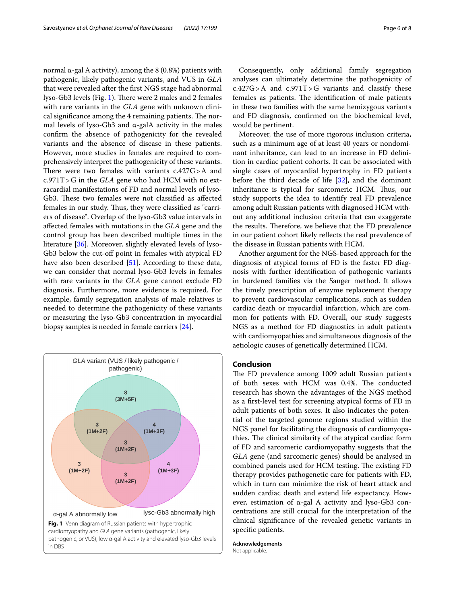normal α-gal A activity), among the  $8(0.8%)$  patients with pathogenic, likely pathogenic variants, and VUS in *GLA* that were revealed after the frst NGS stage had abnormal lyso-Gb3 levels (Fig. [1](#page-5-0)). There were 2 males and 2 females with rare variants in the *GLA* gene with unknown clinical significance among the 4 remaining patients. The normal levels of lyso-Gb3 and  $\alpha$ -galA activity in the males confrm the absence of pathogenicity for the revealed variants and the absence of disease in these patients. However, more studies in females are required to comprehensively interpret the pathogenicity of these variants. There were two females with variants  $c.427G > A$  and c.971T>G in the *GLA* gene who had HCM with no extracardial manifestations of FD and normal levels of lyso-Gb3. These two females were not classified as affected females in our study. Thus, they were classified as "carriers of disease". Overlap of the lyso-Gb3 value intervals in afected females with mutations in the *GLA* gene and the control group has been described multiple times in the literature [[36\]](#page-7-30). Moreover, slightly elevated levels of lyso-Gb3 below the cut-off point in females with atypical FD have also been described [[51\]](#page-7-31). According to these data, we can consider that normal lyso-Gb3 levels in females with rare variants in the *GLA* gene cannot exclude FD diagnosis. Furthermore, more evidence is required. For example, family segregation analysis of male relatives is needed to determine the pathogenicity of these variants or measuring the lyso-Gb3 concentration in myocardial

<span id="page-5-0"></span>

biopsy samples is needed in female carriers [[24\]](#page-6-20).

Consequently, only additional family segregation analyses can ultimately determine the pathogenicity of  $c.427G>A$  and  $c.971T>G$  variants and classify these females as patients. The identification of male patients in these two families with the same hemizygous variants and FD diagnosis, confrmed on the biochemical level, would be pertinent.

Moreover, the use of more rigorous inclusion criteria, such as a minimum age of at least 40 years or nondominant inheritance, can lead to an increase in FD defnition in cardiac patient cohorts. It can be associated with single cases of myocardial hypertrophy in FD patients before the third decade of life  $[32]$  $[32]$ , and the dominant inheritance is typical for sarcomeric HCM. Thus, our study supports the idea to identify real FD prevalence among adult Russian patients with diagnosed HCM without any additional inclusion criteria that can exaggerate the results. Therefore, we believe that the FD prevalence in our patient cohort likely refects the real prevalence of the disease in Russian patients with HCM.

Another argument for the NGS-based approach for the diagnosis of atypical forms of FD is the faster FD diagnosis with further identifcation of pathogenic variants in burdened families via the Sanger method. It allows the timely prescription of enzyme replacement therapy to prevent cardiovascular complications, such as sudden cardiac death or myocardial infarction, which are common for patients with FD. Overall, our study suggests NGS as a method for FD diagnostics in adult patients with cardiomyopathies and simultaneous diagnosis of the aetiologic causes of genetically determined HCM.

#### **Conclusion**

The FD prevalence among 1009 adult Russian patients of both sexes with HCM was 0.4%. The conducted research has shown the advantages of the NGS method as a frst-level test for screening atypical forms of FD in adult patients of both sexes. It also indicates the potential of the targeted genome regions studied within the NGS panel for facilitating the diagnosis of cardiomyopathies. The clinical similarity of the atypical cardiac form of FD and sarcomeric cardiomyopathy suggests that the *GLA* gene (and sarcomeric genes) should be analysed in combined panels used for HCM testing. The existing FD therapy provides pathogenetic care for patients with FD, which in turn can minimize the risk of heart attack and sudden cardiac death and extend life expectancy. However, estimation of α-gal A activity and lyso-Gb3 concentrations are still crucial for the interpretation of the clinical signifcance of the revealed genetic variants in specifc patients.

**Acknowledgements** Not applicable.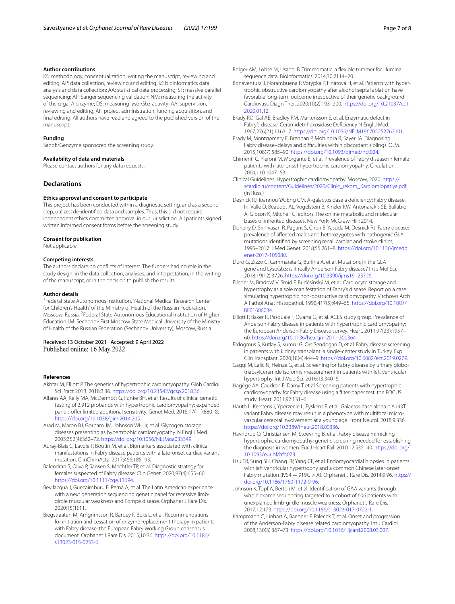#### **Author contributions**

KS: methodology, conceptualization, writing the manuscript, reviewing and editing; AP: data collection, reviewing and editing; IZ: bioinformatics data analysis and data collection; AA: statistical data processing; ST: massive parallel sequencing; AP: Sanger sequencing validation; NM: measuring the activity of the α-gal A enzyme; DS: measuring lyso-Gb3 activity; AA: supervision, reviewing and editing; AF: project administration, funding acquisition, and fnal editing. All authors have read and agreed to the published version of the manuscript.

#### **Funding**

Sanof/Genzyme sponsored the screening study.

#### **Availability of data and materials**

Please contact authors for any data requests.

#### **Declarations**

#### **Ethics approval and consent to participate**

This project has been conducted within a diagnostic setting, and as a second step, utilized de-identifed data and samples. Thus, this did not require independent ethics committee approval in our jurisdiction. All patients signed written informed consent forms before the screening study.

#### **Consent for publication**

Not applicable.

#### **Competing interests**

The authors declare no conficts of interest. The funders had no role in the study design, in the data collection, analyses, and interpretation, in the writing of the manuscript, or in the decision to publish the results.

#### **Author details**

<sup>1</sup> Federal State Autonomous Institution, "National Medical Research Center for Children's Health" of the Ministry of Health of the Russian Federation, Moscow, Russia. <sup>2</sup> Federal State Autonomous Educational Institution of Higher Education I.M. Sechenov First Moscow State Medical University of the Ministry of Health of the Russian Federation (Sechenov University), Moscow, Russia.

Received: 13 October 2021 Accepted: 9 April 2022 Published online: 16 May 2022

#### **References**

- <span id="page-6-0"></span>Akhtar M, Elliott P. The genetics of hypertrophic cardiomyopathy. Glob Cardiol Sci Pract 2018. 2018;3:36.<https://doi.org/10.21542/gcsp.2018.36>.
- <span id="page-6-19"></span>Alfares AA, Kelly MA, McDermott G, Funke BH, et al. Results of clinical genetic testing of 2,912 probands with hypertrophic cardiomyopathy: expanded panels offer limited additional sensitivity. Genet Med. 2015;17(11):880-8. [https://doi.org/10.1038/gim.2014.205.](https://doi.org/10.1038/gim.2014.205)
- <span id="page-6-7"></span>Arad M, Maron BJ, Gorham JM, Johnson WH Jr, et al. Glycogen storage diseases presenting as hypertrophic cardiomyopathy. N Engl J Med. 2005;352(4):362–72. [https://doi.org/10.1056/NEJMoa033349.](https://doi.org/10.1056/NEJMoa033349)
- <span id="page-6-22"></span>Auray-Blais C, Lavoie P, Boutin M, et al. Biomarkers associated with clinical manifestations in Fabry disease patients with a late-onset cardiac variant mutation. ClinChimActa. 2017;466:185–93.
- <span id="page-6-18"></span>Balendran S, Oliva P, Sansen S, Mechtler TP, et al. Diagnostic strategy for females suspected of Fabry disease. Clin Genet. 2020;97(4):655–60. <https://doi.org/10.1111/cge.13694>.
- <span id="page-6-11"></span>Bevilacqua J, Guecaimburu E, Perna A, et al. The Latin American experience with a next generation sequencing genetic panel for recessive limbgirdle muscular weakness and Pompe disease. Orphanet J Rare Dis. 2020;15(1):11.
- <span id="page-6-6"></span>Biegstraaten M, Arngrímsson R, Barbey F, Boks L, et al. Recommendations for initiation and cessation of enzyme replacement therapy in patients with Fabry disease: the European Fabry Working Group consensus document. Orphanet J Rare Dis. 2015;10:36. [https://doi.org/10.1186/](https://doi.org/10.1186/s13023-015-0253-6) [s13023-015-0253-6.](https://doi.org/10.1186/s13023-015-0253-6)
- <span id="page-6-13"></span>Bolger AM, Lohse M, Usadel B. Trimmomatic: a fexible trimmer for illumina sequence data. Bioinformatics. 2014;30:2114–20.
- <span id="page-6-1"></span>Bonaventura J, Norambuena P, Votýpka P, Hnátová H, et al. Patients with hypertrophic obstructive cardiomyopathy after alcohol septal ablation have favorable long-term outcome irrespective of their genetic background. Cardiovasc Diagn Ther. 2020;10(2):193–200. [https://doi.org/10.21037/cdt.](https://doi.org/10.21037/cdt.2020.01.12) [2020.01.12.](https://doi.org/10.21037/cdt.2020.01.12)
- <span id="page-6-2"></span>Brady RO, Gal AE, Bradley RM, Martensson E, et al. Enzymatic defect in Fabry's disease. Ceramidetrihexosidase Defciency N Engl J Med. 1967;276(21):1163–7. [https://doi.org/10.1056/NEJM196705252762101.](https://doi.org/10.1056/NEJM196705252762101)
- <span id="page-6-14"></span>Brady M, Montgomery E, Brennan P, Mohindra R, Sayer JA. Diagnosing Fabry disease–delays and difculties within discordant siblings. QJM. 2015;108(7):585–90. <https://doi.org/10.1093/qjmed/hct024>.
- <span id="page-6-8"></span>Chimenti C, Pieroni M, Morgante E, et al. Prevalence of Fabry disease in female patients with late-onset hypertrophic cardiomyopathy. Circulation. 2004;110:1047–53.
- <span id="page-6-12"></span>Clinical Guidelines. Hypertrophic cardiomyopathy. Moscow, 2020. [https://](https://scardio.ru/content/Guidelines/2020/Clinic_rekom_Kardiomiopatiya.pdf) [scardio.ru/content/Guidelines/2020/Clinic\\_rekom\\_Kardiomiopatiya.pdf.](https://scardio.ru/content/Guidelines/2020/Clinic_rekom_Kardiomiopatiya.pdf) (in Russ.)
- <span id="page-6-3"></span>Desnick RJ, Ioannou YA, Eng CM. A-galactosidase a defciency: Fabry disease. In: Valle D, Beaudet AL, Vogelstein B, Kinzler KW, Antonarakis SE, Ballabio A, Gibson K, Mitchell G, editors. The online metabolic and molecular bases of inherited diseases. New York: McGraw-Hill; 2014.
- <span id="page-6-9"></span>Doheny D, Srinivasan R, Pagant S, Chen B, Yasuda M, Desnick RJ. Fabry disease: prevalence of afected males and heterozygotes with pathogenic GLA mutations identifed by screening renal, cardiac and stroke clinics, 1995–2017. J Med Genet. 2018;55:261–8. [https://doi.org/10.1136/jmedg](https://doi.org/10.1136/jmedgenet-2017-105080) [enet-2017-105080](https://doi.org/10.1136/jmedgenet-2017-105080).
- <span id="page-6-16"></span>Duro G, Zizzo C, Cammarata G, Burlina A, et al. Mutations in the GLA gene and LysoGb3: is it really Anderson-Fabry disease? Int J Mol Sci. 2018;19(12):3726.<https://doi.org/10.3390/ijms19123726>.
- <span id="page-6-5"></span>Elleder M, Bradová V, Smíd F, Budĕsínský M, et al. Cardiocyte storage and hypertrophy as a sole manifestation of Fabry's disease. Report on a case simulating hypertrophic non-obstructive cardiomyopathy. Virchows Arch A Pathol Anat Histopathol. 1990;417(5):449–55. [https://doi.org/10.1007/](https://doi.org/10.1007/BF01606034) [BF01606034](https://doi.org/10.1007/BF01606034).
- Elliott P, Baker R, Pasquale F, Quarta G, et al. ACES study group. Prevalence of Anderson-Fabry disease in patients with hypertrophic cardiomyopathy: the European Anderson-Fabry Disease survey. Heart. 2011;97(23):1957– 60. [https://doi.org/10.1136/heartjnl-2011-300364.](https://doi.org/10.1136/heartjnl-2011-300364)
- <span id="page-6-17"></span>Erdogmus S, Kutlay S, Kumru G, Ors Sendogan D, et al. Fabry disease screening in patients with kidney transplant: a single-center study in Turkey. Exp Clin Transplant. 2020;18(4):444–9.<https://doi.org/10.6002/ect.2019.0279>.
- <span id="page-6-23"></span>Gaggl M, Lajic N, Heinze G, et al. Screening for Fabry disease by urinary globotriaosylceramide isoforms measurement in patients with left ventricular hypertrophy. Int J Med Sci. 2016;13:340–6.
- <span id="page-6-21"></span>Hagège AA, Caudron E. Damy T et al Screening patients with hypertrophic cardiomyopathy for Fabry disease using a flter-paper test: the FOCUS study. Heart. 2011;97:131–6.
- <span id="page-6-15"></span>Hauth L, Kerstens J, Yperzeele L, Eyskens F, et al. Galactosidase alpha p.A143T variant Fabry disease may result in a phenotype with multifocal microvascular cerebral involvement at a young age. Front Neurol. 2018;9:336. [https://doi.org/10.3389/fneur.2018.00336.](https://doi.org/10.3389/fneur.2018.00336)
- <span id="page-6-10"></span>Havndrup O, Christiansen M, Stoevring B, et al. Fabry disease mimicking hypertrophic cardiomyopathy: genetic screening needed for establishing the diagnosis in women. Eur J Heart Fail. 2010;12:535–40. [https://doi.org/](https://doi.org/10.1093/eurjhf/hfq073) [10.1093/eurjhf/hfq073.](https://doi.org/10.1093/eurjhf/hfq073)
- <span id="page-6-20"></span>Hsu TR, Sung SH, Chang FP, Yang CF, et al. Endomyocardial biopsies in patients with left ventricular hypertrophy and a common Chinese later-onset Fabry mutation (IVS4  $+$  919G  $>$  A). Orphanet J Rare Dis. 2014;9:96. [https://](https://doi.org/10.1186/1750-1172-9-96) [doi.org/10.1186/1750-1172-9-96](https://doi.org/10.1186/1750-1172-9-96).
- <span id="page-6-24"></span>Johnson K, Töpf A, Bertoli M, et al. Identifcation of GAA variants through whole exome sequencing targeted to a cohort of 606 patients with unexplained limb-girdle muscle weakness. Orphanet J Rare Dis. 2017;12:173.<https://doi.org/10.1186/s13023-017-0722-1>.
- <span id="page-6-4"></span>Kampmann C, Linhart A, Baehner F, Palecek T, et al. Onset and progression of the Anderson-Fabry disease related cardiomyopathy. Int J Cardiol. 2008;130(3):367–73. <https://doi.org/10.1016/j.ijcard.2008.03.007>.